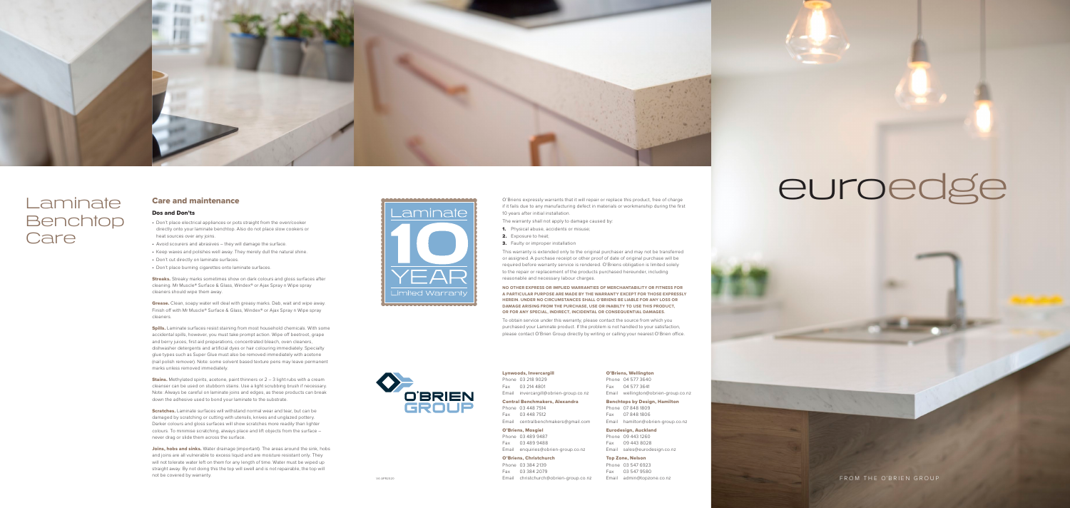FROM THE O 'BRIEN GROUP

Lynwoods, Invercargill

Phone 03 218 9029 Fax 03 214 4801 Email invercargill@obrien-group.co.nz

#### Central Benchmakers, Alexandra

Phone 03 448 7514 Fax 03 448 7512

Email centralbenchmakers@gmail.com

O'Briens, Mosgiel

Phone 03 489 9487 Fax 03 489 9488 Email enquiries@obrien-group.co.nz

O'Briens, Christchurch Phone 03 384 2139

Fax 03 384 2079



## Laminate Benchtop **Care**

Email christchurch@obrien-group.co.nz

O'Briens, Wellington Phone 04 577 3640 Fax 04 577 3641

Email wellington@obrien-group.co.nz Benchtops by Design, Hamilton

Phone 07 848 1809 Fax 07 848 1806

Email hamilton@obrien-group.co.nz

Eurodesign, Auckland Phone 09 443 1260 Fax 09 443 8028

# euroedge

Email sales@eurodesign.co.nz

**Streaks.** Streaky marks sometimes show on dark colours and gloss surfaces after cleaning. Mr Muscle® Surface & Glass, Windex® or Ajax Spray n Wipe spray cleaners should wipe them away.

#### Top Zone, Nelson Phone 03 547 6923 Fax 03 547 9580 Email admin@topzone.co.nz

**Grease.** Clean, soapy water will deal with greasy marks. Dab, wait and wipe away. Finish off with Mr Muscle® Surface & Glass, Windex® or Ajax Spray n Wipe spray cleaners.

#### Care and maintenance

#### Dos and Don'ts

- Don't place electrical appliances or pots straight from the oven/cooker directly onto your laminate benchtop. Also do not place slow cookers or heat sources over any joins.
- Avoid scourers and abrasives they will damage the surface.
- Keep waxes and polishes well away. They merely dull the natural shine.
- Don't cut directly on laminate surfaces.
- Don't place burning cigarettes onto laminate surfaces.

**Spills.** Laminate surfaces resist staining from most household chemicals. With some accidental spills, however, you must take prompt action. Wipe off beetroot, grape and berry juices, first aid preparations, concentrated bleach, oven cleaners, dishwasher detergents and artificial dyes or hair colouring immediately. Specialty glue types such as Super Glue must also be removed immediately with acetone (nail polish remover). Note: some solvent based texture pens may leave permanent marks unless removed immediately.

**Stains.** Methylated spirits, acetone, paint thinners or  $2 - 3$  light rubs with a cream cleanser can be used on stubborn stains. Use a light scrubbing brush if necessary. Note: Always be careful on laminate joins and edges, as these products can break down the adhesive used to bond your laminate to the substrate.

Scratches. Laminate surfaces will withstand normal wear and tear, but can be damaged by scratching or cutting with utensils, knives and unglazed pottery. Darker colours and gloss surfaces will show scratches more readily than lighter colours. To minimise scratching, always place and lift objects from the surface – never drag or slide them across the surface.

Joins, hobs and sinks. Water drainage (important). The areas around the sink, hobs and joins are all vulnerable to excess liquid and are moisture resistant only. They will not tolerate water left on them for any length of time. Water must be wiped up straight away. By not doing this the top will swell and is not repairable, the top will not be covered by warranty.



**OBRIEN**<br>GROUP

To obtain service under this warranty, please contact the source from which you purchased your Laminate product. If the problem is not handled to your satisfaction, please contact O'Brien Group directly by writing or calling your nearest O'Brien office.

O'Briens expressly warrants that it will repair or replace this product, free of charge if it fails due to any manufacturing defect in materials or workmanship during the first

10 years after initial installation.

**1.** Physical abuse, accidents or misuse: 2. Exposure to heat:

**3.** Faulty or improper installation

The warranty shall not apply to damage caused by:

This warranty is extended only to the original purchaser and may not be transferred or assigned. A purchase receipt or other proof of date of original purchase will be required before warranty service is rendered. O'Briens obligation is limited solely to the repair or replacement of the products purchased hereunder, including reasonable and necessary labour charges.

**NO OTHER EXPRESS OR IMPLIED WARRANTIES OF MERCHANTABILITY OR FITNESS FOR A PARTICULAR PURPOSE ARE MADE BY THE WARRANTY EXCEPT FOR THOSE EXPRESSLY HEREIN. UNDER NO CIRCUMSTANCES SHALL O'BRIENS BE LIABLE FOR ANY LOSS OR DAMAGE ARISING FROM THE PURCHASE, USE OR INABILTY TO USE THIS PRODUCT, OR FOR ANY SPECIAL, INDIRECT, INCIDENTAL OR CONSEQUENTIAL DAMAGES.**

V4-APR2020